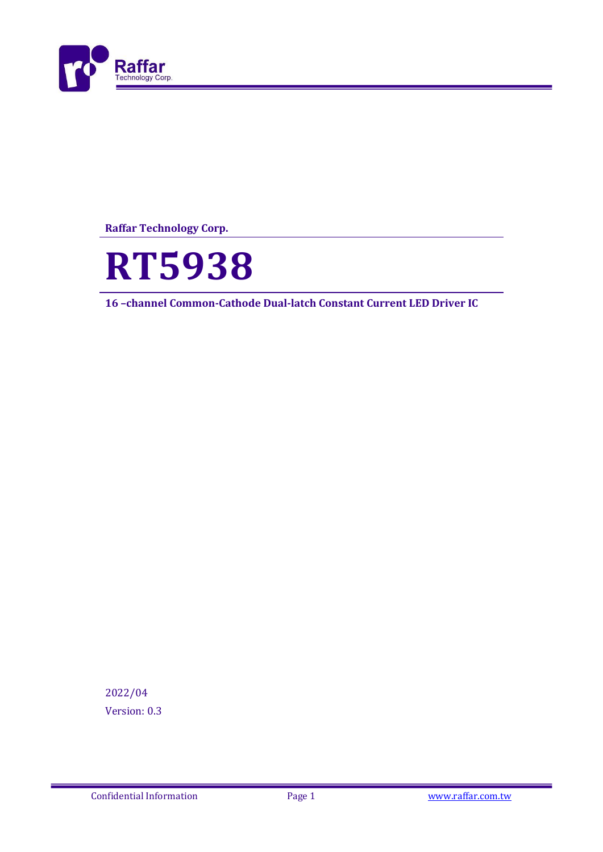

**Raffar Technology Corp.**



**16 –channel Common-Cathode Dual-latch Constant Current LED Driver IC**

2022/04 Version: 0.3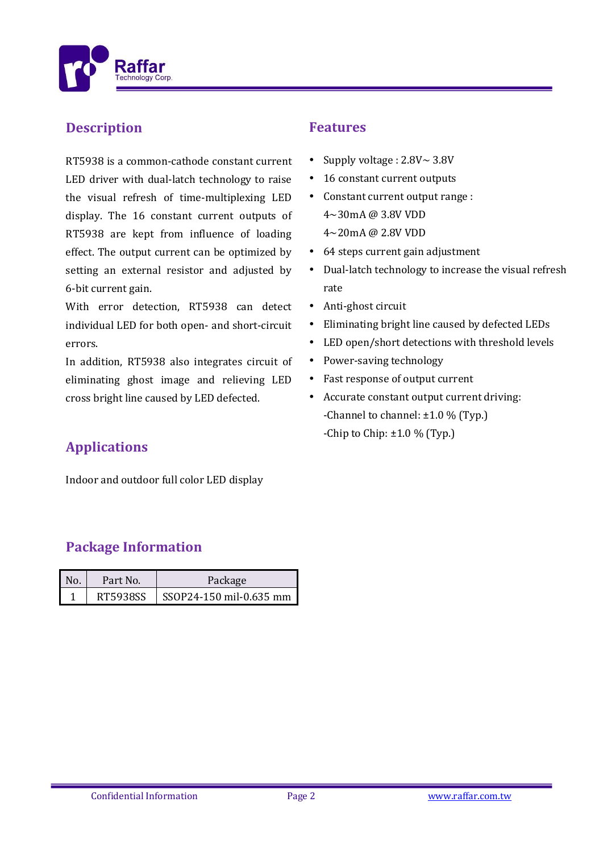

### **Description**

RT5938 is a common-cathode constant current LED driver with dual-latch technology to raise the visual refresh of time-multiplexing LED display. The 16 constant current outputs of RT5938 are kept from influence of loading effect. The output current can be optimized by setting an external resistor and adjusted by 6-bit current gain.

With error detection, RT5938 can detect individual LED for both open- and short-circuit errors.

In addition, RT5938 also integrates circuit of eliminating ghost image and relieving LED cross bright line caused by LED defected.

## **Applications**

Indoor and outdoor full color LED display

## **Package Information**

| No. | Part No. | Package                 |  |
|-----|----------|-------------------------|--|
|     | RT5938SS | SSOP24-150 mil-0.635 mm |  |

#### **Features**

- Supply voltage :  $2.8V \sim 3.8V$
- 16 constant current outputs
- Constant current output range : 4~30mA @ 3.8V VDD 4~20mA @ 2.8V VDD
- 64 steps current gain adjustment
- Dual-latch technology to increase the visual refresh rate
- Anti-ghost circuit
- Eliminating bright line caused by defected LEDs
- LED open/short detections with threshold levels
- Power-saving technology
- Fast response of output current
- Accurate constant output current driving: -Channel to channel:  $\pm 1.0$  % (Typ.) -Chip to Chip:  $\pm 1.0$  % (Typ.)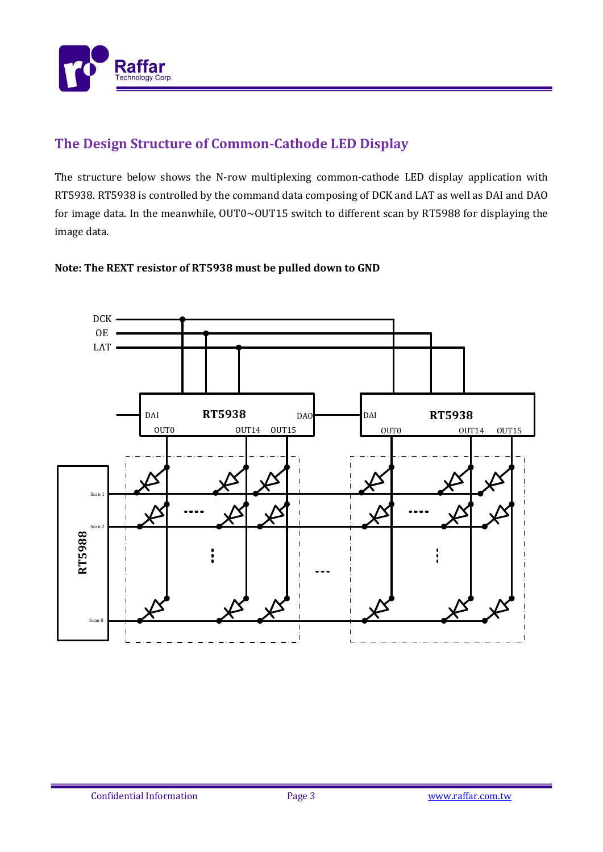

# **The Design Structure of Common-Cathode LED Display**

The structure below shows the N-row multiplexing common-cathode LED display application with RT5938. RT5938 is controlled by the command data composing of DCK and LAT as well as DAI and DAO for image data. In the meanwhile, OUT0~OUT15 switch to different scan by RT5988 for displaying the image data.

#### **Note: The REXT resistor of RT5938 must be pulled down to GND**

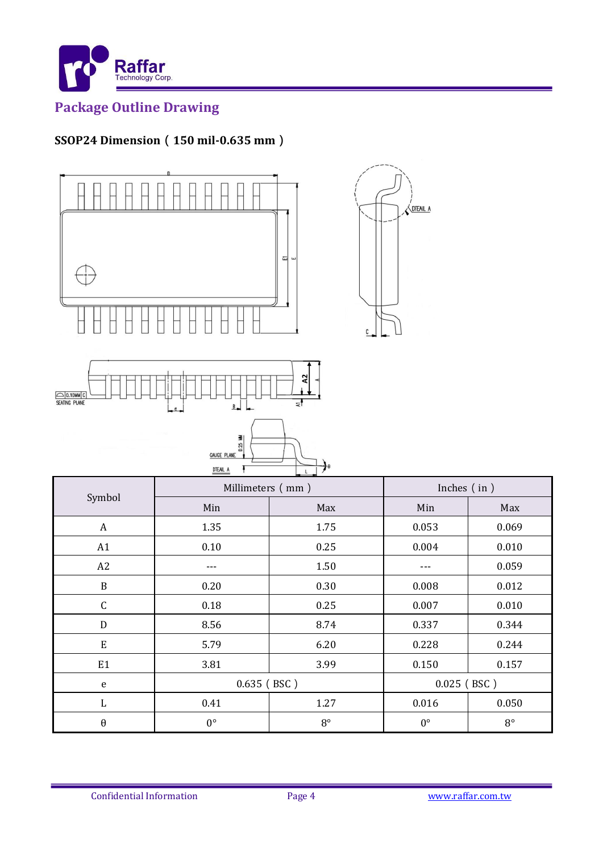

# **Package Outline Drawing**

# **SSOP24 Dimension**(**150 mil-0.635 mm**)



| ଝା<br>O 0.10MM C<br>ਵੀ<br>$\frac{B}{2}$<br>$\epsilon$    |                  |             |               |             |  |  |  |
|----------------------------------------------------------|------------------|-------------|---------------|-------------|--|--|--|
| $0.25$ MW<br><b>GAUGE PLANE</b><br>₹٥<br><b>DTEAIL A</b> |                  |             |               |             |  |  |  |
|                                                          | Millimeters (mm) |             | Inches (in)   |             |  |  |  |
| Symbol                                                   | Min              | Max         | Min           | Max         |  |  |  |
| $\boldsymbol{A}$                                         | 1.35             | 1.75        | 0.053         | 0.069       |  |  |  |
| A1                                                       | $0.10\,$         | 0.25        | 0.004         | 0.010       |  |  |  |
| A2                                                       | ---              | 1.50        | ---           | 0.059       |  |  |  |
| $\, {\bf B}$                                             | 0.20             | 0.30        | 0.008         | 0.012       |  |  |  |
| $\mathsf C$                                              | 0.18             | 0.25        | 0.007         | 0.010       |  |  |  |
| ${\bf D}$                                                | 8.56             | 8.74        | 0.337         | 0.344       |  |  |  |
| ${\bf E}$                                                | 5.79             | 6.20        | 0.228         | 0.244       |  |  |  |
| E1                                                       | 3.81             | 3.99        | 0.150         | 0.157       |  |  |  |
| $\mathbf e$                                              | $0.635$ (BSC)    |             | $0.025$ (BSC) |             |  |  |  |
| $\mathbf{L}$                                             | 0.41             | 1.27        | 0.016         | 0.050       |  |  |  |
| $\boldsymbol{\theta}$                                    | $0^{\circ}$      | $8^{\circ}$ | $0^{\circ}$   | $8^{\circ}$ |  |  |  |